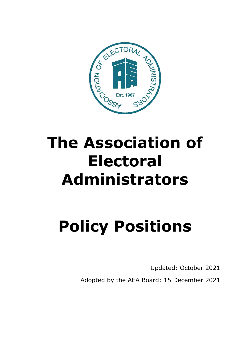

# **Policy Positions**

Updated: October 2021 Adopted by the AEA Board: 15 December 2021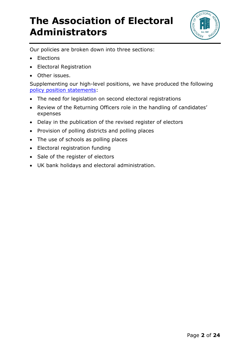

Our policies are broken down into three sections:

- Elections
- Electoral Registration
- Other issues.

Supplementing our high-level positions, we have produced the following [policy position statements:](https://www.aea-elections.co.uk/policy-reporting/reports-issues-papers/)

- The need for legislation on second electoral registrations
- Review of the Returning Officers role in the handling of candidates' expenses
- Delay in the publication of the revised register of electors
- Provision of polling districts and polling places
- The use of schools as polling places
- Electoral registration funding
- Sale of the register of electors
- UK bank holidays and electoral administration.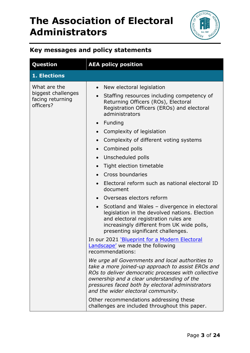

#### **Key messages and policy statements**

| <b>AEA policy position</b>                                                                                                                                                                                                                                                                                                                                                                                                                                                                                                                                                                                                                                                                                                                                                                                                                                                                                                                                                                                                                                                                                                                                          |
|---------------------------------------------------------------------------------------------------------------------------------------------------------------------------------------------------------------------------------------------------------------------------------------------------------------------------------------------------------------------------------------------------------------------------------------------------------------------------------------------------------------------------------------------------------------------------------------------------------------------------------------------------------------------------------------------------------------------------------------------------------------------------------------------------------------------------------------------------------------------------------------------------------------------------------------------------------------------------------------------------------------------------------------------------------------------------------------------------------------------------------------------------------------------|
|                                                                                                                                                                                                                                                                                                                                                                                                                                                                                                                                                                                                                                                                                                                                                                                                                                                                                                                                                                                                                                                                                                                                                                     |
| New electoral legislation<br>$\bullet$<br>Staffing resources including competency of<br>$\bullet$<br>Returning Officers (ROs), Electoral<br>Registration Officers (EROs) and electoral<br>administrators<br>• Funding<br>Complexity of legislation<br>$\bullet$<br>Complexity of different voting systems<br>$\bullet$<br>Combined polls<br>$\bullet$<br>Unscheduled polls<br>$\bullet$<br>Tight election timetable<br>$\bullet$<br>Cross boundaries<br>Electoral reform such as national electoral ID<br>document<br>Overseas electors reform<br>Scotland and Wales - divergence in electoral<br>$\bullet$<br>legislation in the devolved nations. Election<br>and electoral registration rules are<br>increasingly different from UK wide polls,<br>presenting significant challenges.<br>In our 2021 'Blueprint for a Modern Electoral<br>Landscape' we made the following<br>recommendations:<br>We urge all Governments and local authorities to<br>take a more joined-up approach to assist EROs and<br>ROs to deliver democratic processes with collective<br>ownership and a clear understanding of the<br>pressures faced both by electoral administrators |
| and the wider electoral community.<br>Other recommendations addressing these<br>challenges are included throughout this paper.                                                                                                                                                                                                                                                                                                                                                                                                                                                                                                                                                                                                                                                                                                                                                                                                                                                                                                                                                                                                                                      |
|                                                                                                                                                                                                                                                                                                                                                                                                                                                                                                                                                                                                                                                                                                                                                                                                                                                                                                                                                                                                                                                                                                                                                                     |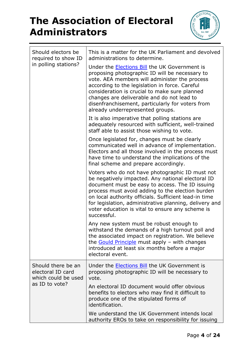

| Should electors be<br>required to show ID<br>in polling stations?                | This is a matter for the UK Parliament and devolved<br>administrations to determine.                                                                                                                                                                                                                                                                                                              |
|----------------------------------------------------------------------------------|---------------------------------------------------------------------------------------------------------------------------------------------------------------------------------------------------------------------------------------------------------------------------------------------------------------------------------------------------------------------------------------------------|
|                                                                                  | Under the Elections Bill the UK Government is<br>proposing photographic ID will be necessary to<br>vote. AEA members will administer the process<br>according to the legislation in force. Careful<br>consideration is crucial to make sure planned<br>changes are deliverable and do not lead to<br>disenfranchisement, particularly for voters from<br>already underrepresented groups.         |
|                                                                                  | It is also imperative that polling stations are<br>adequately resourced with sufficient, well-trained<br>staff able to assist those wishing to vote.                                                                                                                                                                                                                                              |
|                                                                                  | Once legislated for, changes must be clearly<br>communicated well in advance of implementation.<br>Electors and all those involved in the process must<br>have time to understand the implications of the<br>final scheme and prepare accordingly.                                                                                                                                                |
|                                                                                  | Voters who do not have photographic ID must not<br>be negatively impacted. Any national electoral ID<br>document must be easy to access. The ID issuing<br>process must avoid adding to the election burden<br>on local authority officials. Sufficient lead-in time<br>for legislation, administrative planning, delivery and<br>voter education is vital to ensure any scheme is<br>successful. |
|                                                                                  | Any new system must be robust enough to<br>withstand the demands of a high turnout poll and<br>the associated impact on registration. We believe<br>the <b>Gould Principle</b> must apply - with changes<br>introduced at least six months before a major<br>electoral event.                                                                                                                     |
| Should there be an<br>electoral ID card<br>which could be used<br>as ID to vote? | Under the Elections Bill the UK Government is<br>proposing photographic ID will be necessary to<br>vote.                                                                                                                                                                                                                                                                                          |
|                                                                                  | An electoral ID document would offer obvious<br>benefits to electors who may find it difficult to<br>produce one of the stipulated forms of<br>identification.                                                                                                                                                                                                                                    |
|                                                                                  | We understand the UK Government intends local<br>authority EROs to take on responsibility for issuing                                                                                                                                                                                                                                                                                             |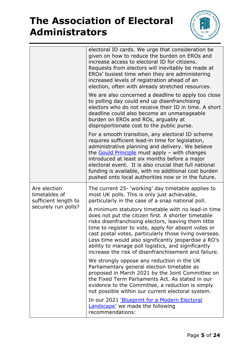

|                                                                              | electoral ID cards. We urge that consideration be<br>given on how to reduce the burden on EROs and<br>increase access to electoral ID for citizens.<br>Requests from electors will inevitably be made at<br>EROs' busiest time when they are administering<br>increased levels of registration ahead of an<br>election, often with already stretched resources.                                                                                           |
|------------------------------------------------------------------------------|-----------------------------------------------------------------------------------------------------------------------------------------------------------------------------------------------------------------------------------------------------------------------------------------------------------------------------------------------------------------------------------------------------------------------------------------------------------|
|                                                                              | We are also concerned a deadline to apply too close<br>to polling day could end up disenfranchising<br>electors who do not receive their ID in time. A short<br>deadline could also become an unmanageable<br>burden on EROs and ROs, arguably at<br>disproportionate cost to the public purse.                                                                                                                                                           |
|                                                                              | For a smooth transition, any electoral ID scheme<br>requires sufficient lead-in time for legislation,<br>administrative planning and delivery. We believe<br>the <b>Gould Principle</b> must apply - with changes<br>introduced at least six months before a major<br>electoral event. It is also crucial that full national<br>funding is available, with no additional cost burden<br>pushed onto local authorities now or in the future.               |
| Are election<br>timetables of<br>sufficient length to<br>securely run polls? | The current 25- 'working' day timetable applies to<br>most UK polls. This is only just achievable,<br>particularly in the case of a snap national poll.                                                                                                                                                                                                                                                                                                   |
|                                                                              | A minimum statutory timetable with no lead-in time<br>does not put the citizen first. A shorter timetable<br>risks disenfranchising electors, leaving them little<br>time to register to vote, apply for absent votes or<br>cast postal votes, particularly those living overseas.<br>Less time would also significantly jeopardise a RO's<br>ability to manage poll logistics, and significantly<br>increase the risk of disenfranchisement and failure. |
|                                                                              | We strongly oppose any reduction in the UK<br>Parliamentary general election timetable as<br>proposed in March 2021 by the Joint Committee on<br>the Fixed Term Parliaments Act. As stated in our<br>evidence to the Committee, a reduction is simply<br>not possible within our current electoral system.                                                                                                                                                |
|                                                                              | In our 2021 'Blueprint for a Modern Electoral<br>Landscape' we made the following<br>recommendations:                                                                                                                                                                                                                                                                                                                                                     |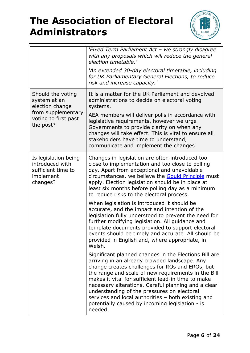

|                                                                                                                 | 'Fixed Term Parliament Act - we strongly disagree<br>with any proposals which will reduce the general<br>election timetable.'<br>'An extended 30-day electoral timetable, including<br>for UK Parliamentary General Elections, to reduce<br>risk and increase capacity.'                                                                                                                                                                                                                         |
|-----------------------------------------------------------------------------------------------------------------|--------------------------------------------------------------------------------------------------------------------------------------------------------------------------------------------------------------------------------------------------------------------------------------------------------------------------------------------------------------------------------------------------------------------------------------------------------------------------------------------------|
| Should the voting<br>system at an<br>election change<br>from supplementary<br>voting to first past<br>the post? | It is a matter for the UK Parliament and devolved<br>administrations to decide on electoral voting<br>systems.<br>AEA members will deliver polls in accordance with<br>legislative requirements, however we urge<br>Governments to provide clarity on when any<br>changes will take effect. This is vital to ensure all<br>stakeholders have time to understand,<br>communicate and implement the changes.                                                                                       |
| Is legislation being<br>introduced with<br>sufficient time to<br>implement<br>changes?                          | Changes in legislation are often introduced too<br>close to implementation and too close to polling<br>day. Apart from exceptional and unavoidable<br>circumstances, we believe the <b>Gould Principle</b> must<br>apply. Election legislation should be in place at<br>least six months before polling day as a minimum<br>to reduce risks to the electoral process.                                                                                                                            |
|                                                                                                                 | When legislation is introduced it should be<br>accurate, and the impact and intention of the<br>legislation fully understood to prevent the need for<br>further modifying legislation. All guidance and<br>template documents provided to support electoral<br>events should be timely and accurate. All should be<br>provided in English and, where appropriate, in<br>Welsh.                                                                                                                   |
|                                                                                                                 | Significant planned changes in the Elections Bill are<br>arriving in an already crowded landscape. Any<br>change creates challenges for ROs and EROs, but<br>the range and scale of new requirements in the Bill<br>makes it vital for sufficient lead-in time to make<br>necessary alterations. Careful planning and a clear<br>understanding of the pressures on electoral<br>services and local authorities - both existing and<br>potentially caused by incoming legislation - is<br>needed. |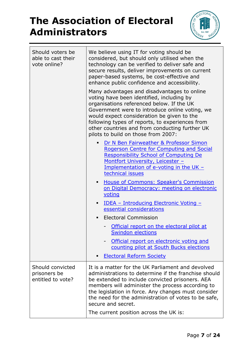

| Should voters be<br>able to cast their<br>vote online? | We believe using IT for voting should be<br>considered, but should only utilised when the<br>technology can be verified to deliver safe and<br>secure results, deliver improvements on current<br>paper-based systems, be cost-effective and<br>enhance public confidence and accessibility.<br>Many advantages and disadvantages to online<br>voting have been identified, including by<br>organisations referenced below. If the UK<br>Government were to introduce online voting, we<br>would expect consideration be given to the<br>following types of reports, to experiences from<br>other countries and from conducting further UK<br>pilots to build on those from 2007:<br>Dr N Ben Fairweather & Professor Simon<br>$\blacksquare$<br>Rogerson Centre for Computing and Social<br><b>Responsibility School of Computing De</b><br>Montfort University, Leicester - |
|--------------------------------------------------------|-------------------------------------------------------------------------------------------------------------------------------------------------------------------------------------------------------------------------------------------------------------------------------------------------------------------------------------------------------------------------------------------------------------------------------------------------------------------------------------------------------------------------------------------------------------------------------------------------------------------------------------------------------------------------------------------------------------------------------------------------------------------------------------------------------------------------------------------------------------------------------|
|                                                        | Implementation of e-voting in the UK $-$<br>technical issues                                                                                                                                                                                                                                                                                                                                                                                                                                                                                                                                                                                                                                                                                                                                                                                                                  |
|                                                        | <b>House of Commons: Speaker's Commission</b><br>٠<br>on Digital Democracy: meeting on electronic<br>voting                                                                                                                                                                                                                                                                                                                                                                                                                                                                                                                                                                                                                                                                                                                                                                   |
|                                                        | <u> IDEA - Introducing Electronic Voting -</u><br>٠<br>essential considerations                                                                                                                                                                                                                                                                                                                                                                                                                                                                                                                                                                                                                                                                                                                                                                                               |
|                                                        | <b>Electoral Commission</b><br>٠                                                                                                                                                                                                                                                                                                                                                                                                                                                                                                                                                                                                                                                                                                                                                                                                                                              |
|                                                        | Official report on the electoral pilot at<br><b>Swindon elections</b>                                                                                                                                                                                                                                                                                                                                                                                                                                                                                                                                                                                                                                                                                                                                                                                                         |
|                                                        | Official report on electronic voting and<br>counting pilot at South Bucks elections                                                                                                                                                                                                                                                                                                                                                                                                                                                                                                                                                                                                                                                                                                                                                                                           |
|                                                        | <b>Electoral Reform Society</b><br>٠                                                                                                                                                                                                                                                                                                                                                                                                                                                                                                                                                                                                                                                                                                                                                                                                                                          |
| Should convicted<br>prisoners be<br>entitled to vote?  | It is a matter for the UK Parliament and devolved<br>administrations to determine if the franchise should<br>be extended to include convicted prisoners. AEA<br>members will administer the process according to<br>the legislation in force. Any changes must consider<br>the need for the administration of votes to be safe,<br>secure and secret.                                                                                                                                                                                                                                                                                                                                                                                                                                                                                                                         |
|                                                        | The current position across the UK is:                                                                                                                                                                                                                                                                                                                                                                                                                                                                                                                                                                                                                                                                                                                                                                                                                                        |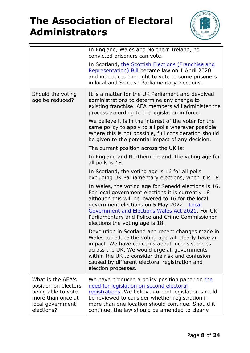

|                                                                                                                        | In England, Wales and Northern Ireland, no<br>convicted prisoners can vote.                                                                                                                                                                                                                                                                           |
|------------------------------------------------------------------------------------------------------------------------|-------------------------------------------------------------------------------------------------------------------------------------------------------------------------------------------------------------------------------------------------------------------------------------------------------------------------------------------------------|
|                                                                                                                        | In Scotland, the Scottish Elections (Franchise and<br>Representation) Bill became law on 1 April 2020<br>and introduced the right to vote to some prisoners<br>in local and Scottish Parliamentary elections.                                                                                                                                         |
| Should the voting<br>age be reduced?                                                                                   | It is a matter for the UK Parliament and devolved<br>administrations to determine any change to<br>existing franchise. AEA members will administer the<br>process according to the legislation in force.                                                                                                                                              |
|                                                                                                                        | We believe it is in the interest of the voter for the<br>same policy to apply to all polls wherever possible.<br>Where this is not possible, full consideration should<br>be given to the potential impact of any decision.                                                                                                                           |
|                                                                                                                        | The current position across the UK is:                                                                                                                                                                                                                                                                                                                |
|                                                                                                                        | In England and Northern Ireland, the voting age for<br>all polls is 18.                                                                                                                                                                                                                                                                               |
|                                                                                                                        | In Scotland, the voting age is 16 for all polls<br>excluding UK Parliamentary elections, when it is 18.                                                                                                                                                                                                                                               |
|                                                                                                                        | In Wales, the voting age for Senedd elections is 16.<br>For local government elections it is currently 18<br>although this will be lowered to 16 for the local<br>government elections on 5 May 2022 - Local<br>Government and Elections Wales Act 2021. For UK<br>Parliamentary and Police and Crime Commissioner<br>elections the voting age is 18. |
|                                                                                                                        | Devolution in Scotland and recent changes made in<br>Wales to reduce the voting age will clearly have an<br>impact. We have concerns about inconsistencies<br>across the UK. We would urge all governments<br>within the UK to consider the risk and confusion<br>caused by different electoral registration and<br>election processes.               |
| What is the AEA's<br>position on electors<br>being able to vote<br>more than once at<br>local government<br>elections? | We have produced a policy position paper on the<br>need for legislation on second electoral<br>registrations. We believe current legislation should<br>be reviewed to consider whether registration in<br>more than one location should continue. Should it<br>continue, the law should be amended to clearly                                         |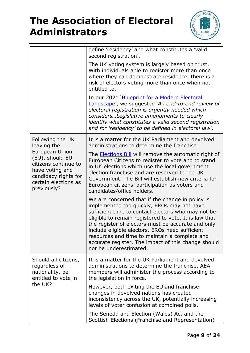

|                                                                                                                                             | define 'residency' and what constitutes a 'valid<br>second registration'.                                                                                                                                                                                                                                                                                                                                                                                |
|---------------------------------------------------------------------------------------------------------------------------------------------|----------------------------------------------------------------------------------------------------------------------------------------------------------------------------------------------------------------------------------------------------------------------------------------------------------------------------------------------------------------------------------------------------------------------------------------------------------|
|                                                                                                                                             | The UK voting system is largely based on trust.<br>With individuals able to register more than once<br>where they can demonstrate residence, there is a<br>risk of electors voting more than once when not<br>entitled to.                                                                                                                                                                                                                               |
|                                                                                                                                             | In our 2021 'Blueprint for a Modern Electoral<br>Landscape', we suggested `An end-to-end review of<br>electoral registration is urgently needed which<br>considers Legislative amendments to clearly<br>identify what constitutes a valid second registration<br>and for 'residency' to be defined in electoral law'.                                                                                                                                    |
| Following the UK<br>leaving the                                                                                                             | It is a matter for the UK Parliament and devolved<br>administrations to determine the franchise.                                                                                                                                                                                                                                                                                                                                                         |
| European Union<br>(EU), should EU<br>citizens continue to<br>have voting and<br>candidacy rights for<br>certain elections as<br>previously? | The <b>Elections Bill</b> will remove the automatic right of<br>European Citizens to register to vote and to stand<br>in UK elections which use the local government<br>election franchise and are reserved to the UK<br>Government. The Bill will establish new criteria for<br>European citizens' participation as voters and<br>candidates/office holders.                                                                                            |
|                                                                                                                                             | We are concerned that if the change in policy is<br>implemented too quickly, EROs may not have<br>sufficient time to contact electors who may not be<br>eligible to remain registered to vote. It is law that<br>the register of electors must be accurate and only<br>include eligible electors. EROs need sufficient<br>resources and time to maintain a complete and<br>accurate register. The impact of this change should<br>not be underestimated. |
| Should all citizens,<br>regardless of<br>nationality, be<br>entitled to vote in<br>the UK?                                                  | It is a matter for the UK Parliament and devolved<br>administrations to determine the franchise. AEA<br>members will administer the process according to<br>the legislation in force.                                                                                                                                                                                                                                                                    |
|                                                                                                                                             | However, both exiting the EU and franchise<br>changes in devolved nations has created<br>inconsistency across the UK, potentially increasing<br>levels of voter confusion at combined polls.                                                                                                                                                                                                                                                             |
|                                                                                                                                             | The Senedd and Election (Wales) Act and the<br>Scottish Elections (Franchise and Representation)                                                                                                                                                                                                                                                                                                                                                         |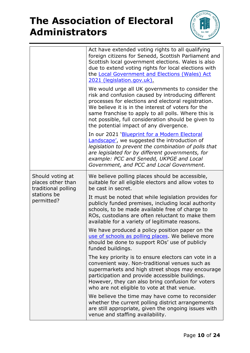

|                                                                                           | Act have extended voting rights to all qualifying<br>foreign citizens for Senedd, Scottish Parliament and<br>Scottish local government elections. Wales is also<br>due to extend voting rights for local elections with<br>the Local Government and Elections (Wales) Act<br>2021 (legislation.gov.uk).                                                                      |
|-------------------------------------------------------------------------------------------|------------------------------------------------------------------------------------------------------------------------------------------------------------------------------------------------------------------------------------------------------------------------------------------------------------------------------------------------------------------------------|
|                                                                                           | We would urge all UK governments to consider the<br>risk and confusion caused by introducing different<br>processes for elections and electoral registration.<br>We believe it is in the interest of voters for the<br>same franchise to apply to all polls. Where this is<br>not possible, full consideration should be given to<br>the potential impact of any divergence. |
|                                                                                           | In our 2021 'Blueprint for a Modern Electoral<br><b>Landscape', we suggested the introduction of</b><br>legislation to prevent the combination of polls that<br>are legislated for by different governments, for<br>example: PCC and Senedd, UKPGE and Local<br>Government, and PCC and Local Government.                                                                    |
| Should voting at<br>places other than<br>traditional polling<br>stations be<br>permitted? | We believe polling places should be accessible,<br>suitable for all eligible electors and allow votes to<br>be cast in secret.                                                                                                                                                                                                                                               |
|                                                                                           | It must be noted that while legislation provides for<br>publicly funded premises, including local authority<br>schools, to be made available free of charge to<br>ROs, custodians are often reluctant to make them<br>available for a variety of legitimate reasons.                                                                                                         |
|                                                                                           | We have produced a policy position paper on the<br>use of schools as polling places. We believe more<br>should be done to support ROs' use of publicly<br>funded buildings.                                                                                                                                                                                                  |
|                                                                                           | The key priority is to ensure electors can vote in a<br>convenient way. Non-traditional venues such as<br>supermarkets and high street shops may encourage<br>participation and provide accessible buildings.<br>However, they can also bring confusion for voters<br>who are not eligible to vote at that venue.                                                            |
|                                                                                           | We believe the time may have come to reconsider<br>whether the current polling district arrangements<br>are still appropriate, given the ongoing issues with<br>venue and staffing availability.                                                                                                                                                                             |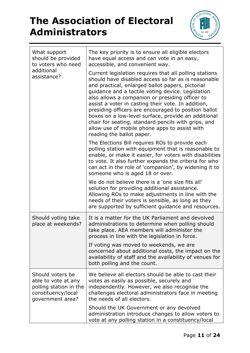

| What support<br>should be provided<br>to voters who need<br>additional<br>assistance?                       | The key priority is to ensure all eligible electors<br>have equal access and can vote in an easy,<br>accessible, and convenient way.<br>Current legislation requires that all polling stations<br>should have disabled access so far as is reasonable<br>and practical, enlarged ballot papers, pictorial<br>guidance and a tactile voting device. Legislation<br>also allows a companion or presiding officer to<br>assist a voter in casting their vote. In addition,<br>presiding officers are encouraged to position ballot<br>boxes on a low-level surface, provide an additional<br>chair for seating, standard pencils with grips, and<br>allow use of mobile phone apps to assist with<br>reading the ballot paper.<br>The Elections Bill requires ROs to provide each<br>polling station with equipment that is reasonable to<br>enable, or make it easier, for voters with disabilities<br>to vote. It also further expands the criteria for who<br>can act in the role of 'companion', by widening it to<br>someone who is aged 18 or over.<br>We do not believe there is a 'one size fits all'<br>solution for providing additional assistance.<br>Allowing ROs to make adjustments in line with the<br>needs of their voters is sensible, as long as they<br>are supported by sufficient guidance and resources. |
|-------------------------------------------------------------------------------------------------------------|-------------------------------------------------------------------------------------------------------------------------------------------------------------------------------------------------------------------------------------------------------------------------------------------------------------------------------------------------------------------------------------------------------------------------------------------------------------------------------------------------------------------------------------------------------------------------------------------------------------------------------------------------------------------------------------------------------------------------------------------------------------------------------------------------------------------------------------------------------------------------------------------------------------------------------------------------------------------------------------------------------------------------------------------------------------------------------------------------------------------------------------------------------------------------------------------------------------------------------------------------------------------------------------------------------------------------------|
| Should voting take<br>place at weekends?                                                                    | It is a matter for the UK Parliament and devolved<br>administrations to determine when polling should<br>take place. AEA members will administer the<br>process in line with the legislation in force.<br>If voting was moved to weekends, we are<br>concerned about additional costs, the impact on the<br>availability of staff and the availability of venues for<br>both polling and the count.                                                                                                                                                                                                                                                                                                                                                                                                                                                                                                                                                                                                                                                                                                                                                                                                                                                                                                                           |
| Should voters be<br>able to vote at any<br>polling station in the<br>constituency/local<br>government area? | We believe all electors should be able to cast their<br>votes as easily as possible, securely and<br>independently. However, we also recognise the<br>challenges electoral administrators face in meeting<br>the needs of all electors.<br>Should the UK Government or any devolved<br>administration introduce changes to allow voters to<br>vote at any polling station in a constituency/local                                                                                                                                                                                                                                                                                                                                                                                                                                                                                                                                                                                                                                                                                                                                                                                                                                                                                                                             |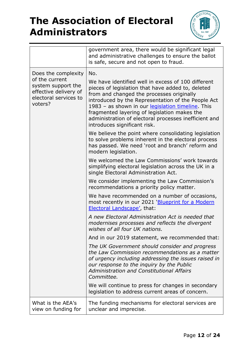

|                                                                                                                          | government area, there would be significant legal<br>and administrative challenges to ensure the ballot<br>is safe, secure and not open to fraud.                                                                                                                                                                                                                                                               |
|--------------------------------------------------------------------------------------------------------------------------|-----------------------------------------------------------------------------------------------------------------------------------------------------------------------------------------------------------------------------------------------------------------------------------------------------------------------------------------------------------------------------------------------------------------|
| Does the complexity<br>of the current<br>system support the<br>effective delivery of<br>electoral services to<br>voters? | No.<br>We have identified well in excess of 100 different<br>pieces of legislation that have added to, deleted<br>from and changed the processes originally<br>introduced by the Representation of the People Act<br>1983 - as shown in our legislation timeline. This<br>fragmented layering of legislation makes the<br>administration of electoral processes inefficient and<br>introduces significant risk. |
|                                                                                                                          | We believe the point where consolidating legislation<br>to solve problems inherent in the electoral process<br>has passed. We need 'root and branch' reform and<br>modern legislation.                                                                                                                                                                                                                          |
|                                                                                                                          | We welcomed the Law Commissions' work towards<br>simplifying electoral legislation across the UK in a<br>single Electoral Administration Act.                                                                                                                                                                                                                                                                   |
|                                                                                                                          | We consider implementing the Law Commission's<br>recommendations a priority policy matter.                                                                                                                                                                                                                                                                                                                      |
|                                                                                                                          | We have recommended on a number of occasions,<br>most recently in our 2021 'Blueprint for a Modern<br>Electoral Landscape', that:                                                                                                                                                                                                                                                                               |
|                                                                                                                          | A new Electoral Administration Act is needed that<br>modernises processes and reflects the divergent<br>wishes of all four UK nations.                                                                                                                                                                                                                                                                          |
|                                                                                                                          | And in our 2019 statement, we recommended that:                                                                                                                                                                                                                                                                                                                                                                 |
|                                                                                                                          | The UK Government should consider and progress<br>the Law Commission recommendations as a matter<br>of urgency including addressing the issues raised in<br>our response to the inquiry by the Public<br><b>Administration and Constitutional Affairs</b><br>Committee.                                                                                                                                         |
|                                                                                                                          | We will continue to press for changes in secondary<br>legislation to address current areas of concern.                                                                                                                                                                                                                                                                                                          |
| What is the AEA's<br>view on funding for                                                                                 | The funding mechanisms for electoral services are<br>unclear and imprecise.                                                                                                                                                                                                                                                                                                                                     |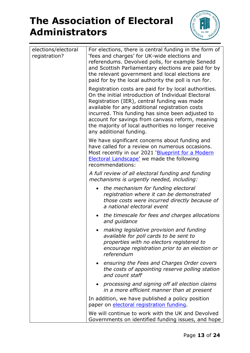

| elections/electoral<br>registration? | For elections, there is central funding in the form of<br>'fees and charges' for UK-wide elections and<br>referendums. Devolved polls, for example Senedd<br>and Scottish Parliamentary elections are paid for by<br>the relevant government and local elections are<br>paid for by the local authority the poll is run for.                                                                               |
|--------------------------------------|------------------------------------------------------------------------------------------------------------------------------------------------------------------------------------------------------------------------------------------------------------------------------------------------------------------------------------------------------------------------------------------------------------|
|                                      | Registration costs are paid for by local authorities.<br>On the initial introduction of Individual Electoral<br>Registration (IER), central funding was made<br>available for any additional registration costs<br>incurred. This funding has since been adjusted to<br>account for savings from canvass reform, meaning<br>the majority of local authorities no longer receive<br>any additional funding. |
|                                      | We have significant concerns about funding and<br>have called for a review on numerous occasions.<br>Most recently in our 2021 'Blueprint for a Modern<br><b>Electoral Landscape'</b> we made the following<br>recommendations:                                                                                                                                                                            |
|                                      | A full review of all electoral funding and funding<br>mechanisms is urgently needed, including:                                                                                                                                                                                                                                                                                                            |
|                                      | the mechanism for funding electoral<br>registration where it can be demonstrated<br>those costs were incurred directly because of<br>a national electoral event                                                                                                                                                                                                                                            |
|                                      | the timescale for fees and charges allocations<br>and quidance                                                                                                                                                                                                                                                                                                                                             |
|                                      | making legislative provision and funding<br>available for poll cards to be sent to<br>properties with no electors registered to<br>encourage registration prior to an election or<br>referendum                                                                                                                                                                                                            |
|                                      | ensuring the Fees and Charges Order covers<br>the costs of appointing reserve polling station<br>and count staff                                                                                                                                                                                                                                                                                           |
|                                      | processing and signing off all election claims<br>in a more efficient manner than at present                                                                                                                                                                                                                                                                                                               |
|                                      | In addition, we have published a policy position<br>paper on electoral registration funding.                                                                                                                                                                                                                                                                                                               |
|                                      | We will continue to work with the UK and Devolved<br>Governments on identified funding issues, and hope                                                                                                                                                                                                                                                                                                    |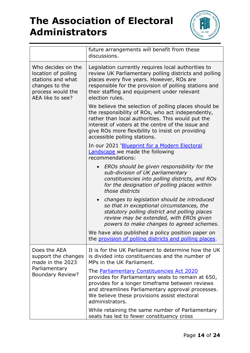

|                                                                                                                           | future arrangements will benefit from these<br>discussions.                                                                                                                                                                                                                                             |
|---------------------------------------------------------------------------------------------------------------------------|---------------------------------------------------------------------------------------------------------------------------------------------------------------------------------------------------------------------------------------------------------------------------------------------------------|
| Who decides on the<br>location of polling<br>stations and what<br>changes to the<br>process would the<br>AEA like to see? | Legislation currently requires local authorities to<br>review UK Parliamentary polling districts and polling<br>places every five years. However, ROs are<br>responsible for the provision of polling stations and<br>their staffing and equipment under relevant<br>election rules.                    |
|                                                                                                                           | We believe the selection of polling places should be<br>the responsibility of ROs, who act independently,<br>rather than local authorities. This would put the<br>interest of voters at the centre of the issue and<br>give ROs more flexibility to insist on providing<br>accessible polling stations. |
|                                                                                                                           | In our 2021 'Blueprint for a Modern Electoral<br>Landscape we made the following<br>recommendations:                                                                                                                                                                                                    |
|                                                                                                                           | EROs should be given responsibility for the<br>$\bullet$<br>sub-division of UK parliamentary<br>constituencies into polling districts, and ROs<br>for the designation of polling places within<br>those districts                                                                                       |
|                                                                                                                           | changes to legislation should be introduced<br>$\bullet$<br>so that in exceptional circumstances, the<br>statutory polling district and polling places<br>review may be extended, with EROs given<br>powers to make changes to agreed schemes.                                                          |
|                                                                                                                           | We have also published a policy position paper on<br>the provision of polling districts and polling places.                                                                                                                                                                                             |
| Does the AEA<br>support the changes<br>made in the 2023<br>Parliamentary<br><b>Boundary Review?</b>                       | It is for the UK Parliament to determine how the UK<br>is divided into constituencies and the number of<br>MPs in the UK Parliament.                                                                                                                                                                    |
|                                                                                                                           | The <i>Parliamentary Constituencies Act 2020</i><br>provides for Parliamentary seats to remain at 650,<br>provides for a longer timeframe between reviews<br>and streamlines Parliamentary approval processes.<br>We believe these provisions assist electoral<br>administrators.                       |
|                                                                                                                           | While retaining the same number of Parliamentary<br>seats has led to fewer constituency cross                                                                                                                                                                                                           |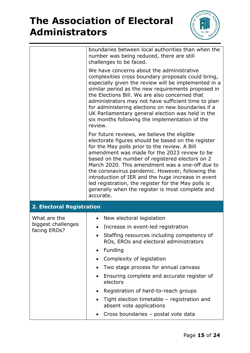

|                                                    | boundaries between local authorities than when the<br>number was being reduced, there are still<br>challenges to be faced.                                                                                                                                                                                                                                                                                                                                                                                                                 |  |  |
|----------------------------------------------------|--------------------------------------------------------------------------------------------------------------------------------------------------------------------------------------------------------------------------------------------------------------------------------------------------------------------------------------------------------------------------------------------------------------------------------------------------------------------------------------------------------------------------------------------|--|--|
|                                                    | We have concerns about the administrative<br>complexities cross boundary proposals could bring,<br>especially given the review will be implemented in a<br>similar period as the new requirements proposed in<br>the Elections Bill. We are also concerned that<br>administrators may not have sufficient time to plan<br>for administering elections on new boundaries if a<br>UK Parliamentary general election was held in the<br>six months following the implementation of the<br>review.                                             |  |  |
|                                                    | For future reviews, we believe the eligible<br>electorate figures should be based on the register<br>for the May polls prior to the review. A Bill<br>amendment was made for the 2023 review to be<br>based on the number of registered electors on 2<br>March 2020. This amendment was a one-off due to<br>the coronavirus pandemic. However, following the<br>introduction of IER and the huge increase in event<br>led registration, the register for the May polls is<br>generally when the register is most complete and<br>accurate. |  |  |
| 2. Electoral Registration                          |                                                                                                                                                                                                                                                                                                                                                                                                                                                                                                                                            |  |  |
| What are the<br>biggest challenges<br>facing EROs? | New electoral legislation<br>٠<br>Increase in event-led registration<br>Staffing resources including competency of<br>ROs, EROs and electoral administrators<br>Funding<br>$\bullet$<br>Complexity of legislation<br>$\bullet$<br>Two stage process for annual canvass<br>$\bullet$<br>Ensuring complete and accurate register of<br>electors<br>Registration of hard-to-reach groups<br>$\bullet$<br>Tight election timetable - registration and<br>absent vote applications<br>Cross boundaries - postal vote data                       |  |  |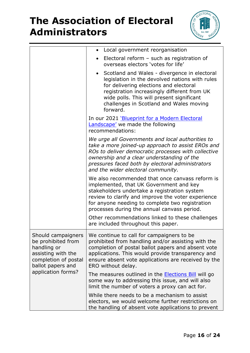

|                                                                                                                            | Local government reorganisation                                                                                                                                                                                                                                                                              |
|----------------------------------------------------------------------------------------------------------------------------|--------------------------------------------------------------------------------------------------------------------------------------------------------------------------------------------------------------------------------------------------------------------------------------------------------------|
|                                                                                                                            | Electoral reform $-$ such as registration of<br>overseas electors 'votes for life'                                                                                                                                                                                                                           |
|                                                                                                                            | Scotland and Wales - divergence in electoral<br>legislation in the devolved nations with rules<br>for delivering elections and electoral<br>registration increasingly different from UK<br>wide polls. This will present significant<br>challenges in Scotland and Wales moving<br>forward.                  |
|                                                                                                                            | In our 2021 'Blueprint for a Modern Electoral<br>Landscape' we made the following<br>recommendations:                                                                                                                                                                                                        |
|                                                                                                                            | We urge all Governments and local authorities to<br>take a more joined-up approach to assist EROs and<br>ROs to deliver democratic processes with collective<br>ownership and a clear understanding of the<br>pressures faced both by electoral administrators<br>and the wider electoral community.         |
|                                                                                                                            | We also recommended that once canvass reform is<br>implemented, that UK Government and key<br>stakeholders undertake a registration system<br>review to clarify and improve the voter experience<br>for anyone needing to complete two registration<br>processes during the annual canvass period.           |
|                                                                                                                            | Other recommendations linked to these challenges<br>are included throughout this paper.                                                                                                                                                                                                                      |
| be prohibited from<br>handling or<br>assisting with the<br>completion of postal<br>ballot papers and<br>application forms? | Should campaigners   We continue to call for campaigners to be<br>prohibited from handling and/or assisting with the<br>completion of postal ballot papers and absent vote<br>applications. This would provide transparency and<br>ensure absent vote applications are received by the<br>ERO without delay. |
|                                                                                                                            | The measures outlined in the <b>Elections Bill</b> will go<br>some way to addressing this issue, and will also<br>limit the number of voters a proxy can act for.                                                                                                                                            |
|                                                                                                                            | While there needs to be a mechanism to assist<br>electors, we would welcome further restrictions on<br>the handling of absent vote applications to prevent                                                                                                                                                   |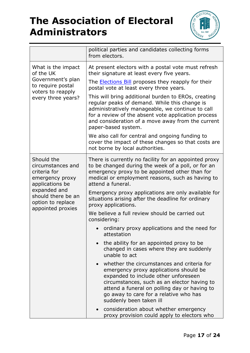

|                                                                                                                                                                       | political parties and candidates collecting forms<br>from electors.                                                                                                                                                                                                                              |
|-----------------------------------------------------------------------------------------------------------------------------------------------------------------------|--------------------------------------------------------------------------------------------------------------------------------------------------------------------------------------------------------------------------------------------------------------------------------------------------|
| What is the impact<br>of the UK<br>Government's plan<br>to require postal<br>voters to reapply<br>every three years?                                                  | At present electors with a postal vote must refresh<br>their signature at least every five years.                                                                                                                                                                                                |
|                                                                                                                                                                       | The <b>Elections Bill</b> proposes they reapply for their<br>postal vote at least every three years.                                                                                                                                                                                             |
|                                                                                                                                                                       | This will bring additional burden to EROs, creating<br>regular peaks of demand. While this change is<br>administratively manageable, we continue to call<br>for a review of the absent vote application process<br>and consideration of a move away from the current<br>paper-based system.      |
|                                                                                                                                                                       | We also call for central and ongoing funding to<br>cover the impact of these changes so that costs are<br>not borne by local authorities.                                                                                                                                                        |
| Should the<br>circumstances and<br>criteria for<br>emergency proxy<br>applications be<br>expanded and<br>should there be an<br>option to replace<br>appointed proxies | There is currently no facility for an appointed proxy<br>to be changed during the week of a poll, or for an<br>emergency proxy to be appointed other than for<br>medical or employment reasons, such as having to<br>attend a funeral.                                                           |
|                                                                                                                                                                       | Emergency proxy applications are only available for<br>situations arising after the deadline for ordinary<br>proxy applications.                                                                                                                                                                 |
|                                                                                                                                                                       | We believe a full review should be carried out<br>considering:                                                                                                                                                                                                                                   |
|                                                                                                                                                                       | ordinary proxy applications and the need for<br>attestation                                                                                                                                                                                                                                      |
|                                                                                                                                                                       | the ability for an appointed proxy to be<br>changed in cases where they are suddenly<br>unable to act                                                                                                                                                                                            |
|                                                                                                                                                                       | whether the circumstances and criteria for<br>emergency proxy applications should be<br>expanded to include other unforeseen<br>circumstances, such as an elector having to<br>attend a funeral on polling day or having to<br>go away to care for a relative who has<br>suddenly been taken ill |
|                                                                                                                                                                       | consideration about whether emergency<br>proxy provision could apply to electors who                                                                                                                                                                                                             |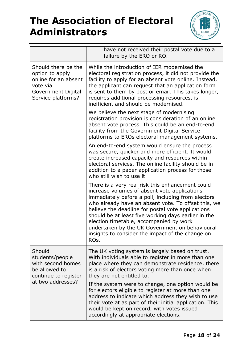

|                                                                                                                        | have not received their postal vote due to a<br>failure by the ERO or RO.                                                                                                                                                                                                                                                                                                                                                                                                          |
|------------------------------------------------------------------------------------------------------------------------|------------------------------------------------------------------------------------------------------------------------------------------------------------------------------------------------------------------------------------------------------------------------------------------------------------------------------------------------------------------------------------------------------------------------------------------------------------------------------------|
| Should there be the<br>option to apply<br>online for an absent<br>vote via<br>Government Digital<br>Service platforms? | While the introduction of IER modernised the<br>electoral registration process, it did not provide the<br>facility to apply for an absent vote online. Instead,<br>the applicant can request that an application form<br>is sent to them by post or email. This takes longer,<br>requires additional processing resources, is<br>inefficient and should be modernised.                                                                                                             |
|                                                                                                                        | We believe the next stage of modernising<br>registration provision is consideration of an online<br>absent vote process. This could be an end-to-end<br>facility from the Government Digital Service<br>platforms to EROs electoral management systems.                                                                                                                                                                                                                            |
|                                                                                                                        | An end-to-end system would ensure the process<br>was secure, quicker and more efficient. It would<br>create increased capacity and resources within<br>electoral services. The online facility should be in<br>addition to a paper application process for those<br>who still wish to use it.                                                                                                                                                                                      |
|                                                                                                                        | There is a very real risk this enhancement could<br>increase volumes of absent vote applications<br>immediately before a poll, including from electors<br>who already have an absent vote. To offset this, we<br>believe the deadline for postal vote applications<br>should be at least five working days earlier in the<br>election timetable, accompanied by work<br>undertaken by the UK Government on behavioural<br>insights to consider the impact of the change on<br>ROs. |
| Should<br>students/people<br>with second homes<br>be allowed to<br>continue to register                                | The UK voting system is largely based on trust.<br>With individuals able to register in more than one<br>place where they can demonstrate residence, there<br>is a risk of electors voting more than once when<br>they are not entitled to.                                                                                                                                                                                                                                        |
| at two addresses?                                                                                                      | If the system were to change, one option would be<br>for electors eligible to register at more than one<br>address to indicate which address they wish to use<br>their vote at as part of their initial application. This<br>would be kept on record, with votes issued<br>accordingly at appropriate elections.                                                                                                                                                                   |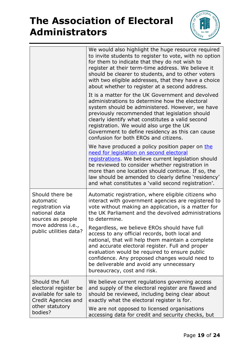

| for them to indicate that they do not wish to<br>register at their term-time address. We believe it<br>should be clearer to students, and to other voters<br>with two eligible addresses, that they have a choice<br>about whether to register at a second address.                                                                                                                                  |
|------------------------------------------------------------------------------------------------------------------------------------------------------------------------------------------------------------------------------------------------------------------------------------------------------------------------------------------------------------------------------------------------------|
| It is a matter for the UK Government and devolved<br>administrations to determine how the electoral<br>system should be administered. However, we have<br>previously recommended that legislation should<br>clearly identify what constitutes a valid second<br>registration. We would also urge the UK<br>Government to define residency as this can cause<br>confusion for both EROs and citizens. |
| We have produced a policy position paper on the<br>need for legislation on second electoral<br>registrations. We believe current legislation should<br>be reviewed to consider whether registration in<br>more than one location should continue. If so, the<br>law should be amended to clearly define 'residency'<br>and what constitutes a 'valid second registration'.                           |
| Automatic registration, where eligible citizens who<br>interact with government agencies are registered to<br>vote without making an application, is a matter for<br>the UK Parliament and the devolved administrations<br>to determine.                                                                                                                                                             |
| Regardless, we believe EROs should have full<br>access to any official records, both local and<br>national, that will help them maintain a complete<br>and accurate electoral register. Full and proper<br>evaluation would be required to ensure public<br>confidence. Any proposed changes would need to<br>be deliverable and avoid any unnecessary<br>bureaucracy, cost and risk.                |
| We believe current regulations governing access<br>and supply of the electoral register are flawed and<br>should be reviewed, including being clear about<br>exactly what the electoral register is for.<br>We are not opposed to licensed organisations<br>accessing data for credit and security checks, but                                                                                       |
|                                                                                                                                                                                                                                                                                                                                                                                                      |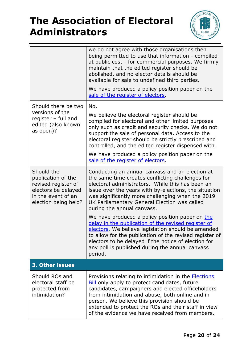

|                                                                                                                              | we do not agree with those organisations then<br>being permitted to use that information - compiled<br>at public cost - for commercial purposes. We firmly<br>maintain that the edited register should be<br>abolished, and no elector details should be<br>available for sale to undefined third parties.                                                                                                               |  |
|------------------------------------------------------------------------------------------------------------------------------|--------------------------------------------------------------------------------------------------------------------------------------------------------------------------------------------------------------------------------------------------------------------------------------------------------------------------------------------------------------------------------------------------------------------------|--|
|                                                                                                                              | We have produced a policy position paper on the<br>sale of the register of electors.                                                                                                                                                                                                                                                                                                                                     |  |
| Should there be two<br>versions of the<br>register $-$ full and<br>edited (also known<br>as open)?                           | No.<br>We believe the electoral register should be<br>compiled for electoral and other limited purposes<br>only such as credit and security checks. We do not<br>support the sale of personal data. Access to the<br>electoral register should be strictly prescribed and<br>controlled, and the edited register dispensed with.<br>We have produced a policy position paper on the<br>sale of the register of electors. |  |
| Should the<br>publication of the<br>revised register of<br>electors be delayed<br>in the event of an<br>election being held? | Conducting an annual canvass and an election at<br>the same time creates conflicting challenges for<br>electoral administrators. While this has been an<br>issue over the years with by-elections, the situation<br>was significantly more challenging when the 2019<br>UK Parliamentary General Election was called<br>during the annual canvass.                                                                       |  |
|                                                                                                                              | We have produced a policy position paper on the<br>delay in the publication of the revised register of<br>electors. We believe legislation should be amended<br>to allow for the publication of the revised register of<br>electors to be delayed if the notice of election for<br>any poll is published during the annual canvass<br>period.                                                                            |  |
| 3. Other issues                                                                                                              |                                                                                                                                                                                                                                                                                                                                                                                                                          |  |
| Should ROs and<br>electoral staff be<br>protected from<br>intimidation?                                                      | Provisions relating to intimidation in the <b>Elections</b><br><b>Bill</b> only apply to protect candidates, future<br>candidates, campaigners and elected officeholders<br>from intimidation and abuse, both online and in<br>person. We believe this provision should be<br>extended to protect the ROs and their staff in view<br>of the evidence we have received from members.                                      |  |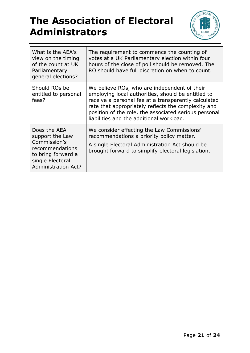

| What is the AEA's<br>view on the timing<br>of the count at UK<br>Parliamentary<br>general elections?                                       | The requirement to commence the counting of<br>votes at a UK Parliamentary election within four<br>hours of the close of poll should be removed. The<br>RO should have full discretion on when to count.                                                                                                               |
|--------------------------------------------------------------------------------------------------------------------------------------------|------------------------------------------------------------------------------------------------------------------------------------------------------------------------------------------------------------------------------------------------------------------------------------------------------------------------|
| Should ROs be<br>entitled to personal<br>fees?                                                                                             | We believe ROs, who are independent of their<br>employing local authorities, should be entitled to<br>receive a personal fee at a transparently calculated<br>rate that appropriately reflects the complexity and<br>position of the role, the associated serious personal<br>liabilities and the additional workload. |
| Does the AEA<br>support the Law<br>Commission's<br>recommendations<br>to bring forward a<br>single Electoral<br><b>Administration Act?</b> | We consider effecting the Law Commissions'<br>recommendations a priority policy matter.<br>A single Electoral Administration Act should be<br>brought forward to simplify electoral legislation.                                                                                                                       |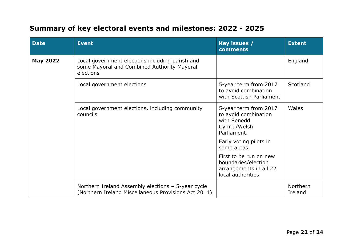#### **Summary of key electoral events and milestones: 2022 - 2025**

| <b>Date</b>     | <b>Event</b>                                                                                                | Key issues /<br>comments                                                                     | <b>Extent</b>       |
|-----------------|-------------------------------------------------------------------------------------------------------------|----------------------------------------------------------------------------------------------|---------------------|
| <b>May 2022</b> | Local government elections including parish and<br>some Mayoral and Combined Authority Mayoral<br>elections |                                                                                              | England             |
|                 | Local government elections                                                                                  | 5-year term from 2017<br>to avoid combination<br>with Scottish Parliament                    | Scotland            |
|                 | Local government elections, including community<br>councils                                                 | 5-year term from 2017<br>to avoid combination<br>with Senedd<br>Cymru/Welsh<br>Parliament.   | Wales               |
|                 |                                                                                                             | Early voting pilots in<br>some areas.                                                        |                     |
|                 |                                                                                                             | First to be run on new<br>boundaries/election<br>arrangements in all 22<br>local authorities |                     |
|                 | Northern Ireland Assembly elections - 5-year cycle<br>(Northern Ireland Miscellaneous Provisions Act 2014)  |                                                                                              | Northern<br>Ireland |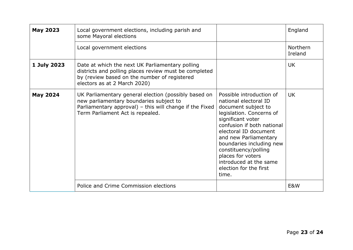| <b>May 2023</b> | Local government elections, including parish and<br>some Mayoral elections                                                                                                                     |                                                                                                                                                                                                                                                                                                                                                 | England                    |
|-----------------|------------------------------------------------------------------------------------------------------------------------------------------------------------------------------------------------|-------------------------------------------------------------------------------------------------------------------------------------------------------------------------------------------------------------------------------------------------------------------------------------------------------------------------------------------------|----------------------------|
|                 | Local government elections                                                                                                                                                                     |                                                                                                                                                                                                                                                                                                                                                 | <b>Northern</b><br>Ireland |
| 1 July 2023     | Date at which the next UK Parliamentary polling<br>districts and polling places review must be completed<br>by (review based on the number of registered<br>electors as at 2 March 2020)       |                                                                                                                                                                                                                                                                                                                                                 | <b>UK</b>                  |
| <b>May 2024</b> | UK Parliamentary general election (possibly based on<br>new parliamentary boundaries subject to<br>Parliamentary approval) - this will change if the Fixed<br>Term Parliament Act is repealed. | Possible introduction of<br>national electoral ID<br>document subject to<br>legislation. Concerns of<br>significant voter<br>confusion if both national<br>electoral ID document<br>and new Parliamentary<br>boundaries including new<br>constituency/polling<br>places for voters<br>introduced at the same<br>election for the first<br>time. | <b>UK</b>                  |
|                 | Police and Crime Commission elections                                                                                                                                                          |                                                                                                                                                                                                                                                                                                                                                 | E&W                        |